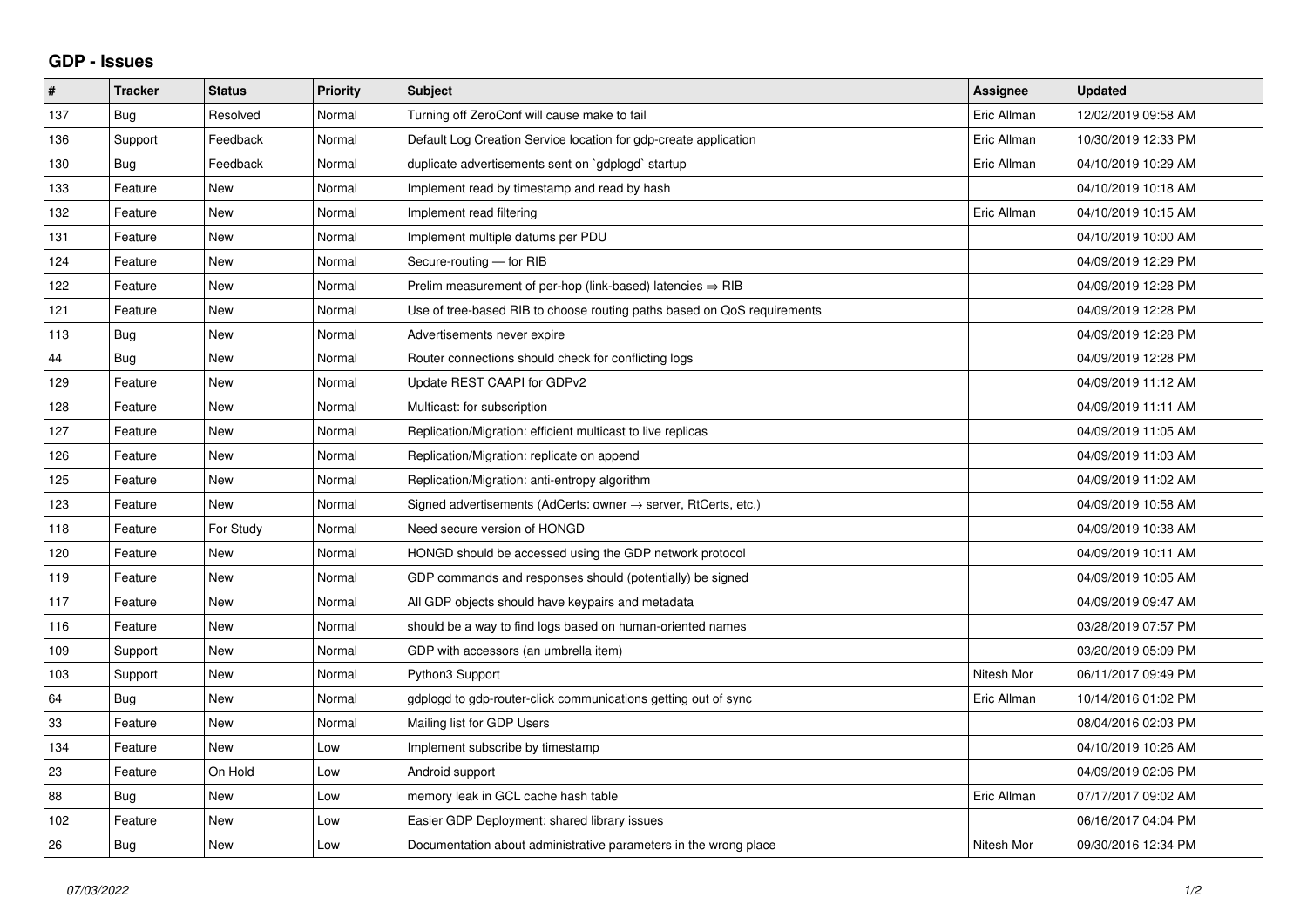## **GDP - Issues**

| $\#$ | <b>Tracker</b> | <b>Status</b> | <b>Priority</b> | <b>Subject</b>                                                             | Assignee    | <b>Updated</b>      |
|------|----------------|---------------|-----------------|----------------------------------------------------------------------------|-------------|---------------------|
| 137  | <b>Bug</b>     | Resolved      | Normal          | Turning off ZeroConf will cause make to fail                               | Eric Allman | 12/02/2019 09:58 AM |
| 136  | Support        | Feedback      | Normal          | Default Log Creation Service location for gdp-create application           | Eric Allman | 10/30/2019 12:33 PM |
| 130  | Bug            | Feedback      | Normal          | duplicate advertisements sent on `gdplogd` startup                         | Eric Allman | 04/10/2019 10:29 AM |
| 133  | Feature        | <b>New</b>    | Normal          | Implement read by timestamp and read by hash                               |             | 04/10/2019 10:18 AM |
| 132  | Feature        | <b>New</b>    | Normal          | Implement read filtering                                                   | Eric Allman | 04/10/2019 10:15 AM |
| 131  | Feature        | <b>New</b>    | Normal          | Implement multiple datums per PDU                                          |             | 04/10/2019 10:00 AM |
| 124  | Feature        | <b>New</b>    | Normal          | Secure-routing - for RIB                                                   |             | 04/09/2019 12:29 PM |
| 122  | Feature        | <b>New</b>    | Normal          | Prelim measurement of per-hop (link-based) latencies $\Rightarrow$ RIB     |             | 04/09/2019 12:28 PM |
| 121  | Feature        | <b>New</b>    | Normal          | Use of tree-based RIB to choose routing paths based on QoS requirements    |             | 04/09/2019 12:28 PM |
| 113  | Bug            | New           | Normal          | Advertisements never expire                                                |             | 04/09/2019 12:28 PM |
| 44   | <b>Bug</b>     | <b>New</b>    | Normal          | Router connections should check for conflicting logs                       |             | 04/09/2019 12:28 PM |
| 129  | Feature        | <b>New</b>    | Normal          | Update REST CAAPI for GDPv2                                                |             | 04/09/2019 11:12 AM |
| 128  | Feature        | <b>New</b>    | Normal          | Multicast: for subscription                                                |             | 04/09/2019 11:11 AM |
| 127  | Feature        | <b>New</b>    | Normal          | Replication/Migration: efficient multicast to live replicas                |             | 04/09/2019 11:05 AM |
| 126  | Feature        | <b>New</b>    | Normal          | Replication/Migration: replicate on append                                 |             | 04/09/2019 11:03 AM |
| 125  | Feature        | <b>New</b>    | Normal          | Replication/Migration: anti-entropy algorithm                              |             | 04/09/2019 11:02 AM |
| 123  | Feature        | <b>New</b>    | Normal          | Signed advertisements (AdCerts: owner $\rightarrow$ server, RtCerts, etc.) |             | 04/09/2019 10:58 AM |
| 118  | Feature        | For Study     | Normal          | Need secure version of HONGD                                               |             | 04/09/2019 10:38 AM |
| 120  | Feature        | <b>New</b>    | Normal          | HONGD should be accessed using the GDP network protocol                    |             | 04/09/2019 10:11 AM |
| 119  | Feature        | <b>New</b>    | Normal          | GDP commands and responses should (potentially) be signed                  |             | 04/09/2019 10:05 AM |
| 117  | Feature        | <b>New</b>    | Normal          | All GDP objects should have keypairs and metadata                          |             | 04/09/2019 09:47 AM |
| 116  | Feature        | <b>New</b>    | Normal          | should be a way to find logs based on human-oriented names                 |             | 03/28/2019 07:57 PM |
| 109  | Support        | <b>New</b>    | Normal          | GDP with accessors (an umbrella item)                                      |             | 03/20/2019 05:09 PM |
| 103  | Support        | <b>New</b>    | Normal          | Python3 Support                                                            | Nitesh Mor  | 06/11/2017 09:49 PM |
| 64   | <b>Bug</b>     | <b>New</b>    | Normal          | gdplogd to gdp-router-click communications getting out of sync             | Eric Allman | 10/14/2016 01:02 PM |
| 33   | Feature        | <b>New</b>    | Normal          | Mailing list for GDP Users                                                 |             | 08/04/2016 02:03 PM |
| 134  | Feature        | New           | Low             | Implement subscribe by timestamp                                           |             | 04/10/2019 10:26 AM |
| 23   | Feature        | On Hold       | Low             | Android support                                                            |             | 04/09/2019 02:06 PM |
| 88   | Bug            | <b>New</b>    | Low             | memory leak in GCL cache hash table                                        | Eric Allman | 07/17/2017 09:02 AM |
| 102  | Feature        | <b>New</b>    | Low             | Easier GDP Deployment: shared library issues                               |             | 06/16/2017 04:04 PM |
| 26   | <b>Bug</b>     | <b>New</b>    | Low             | Documentation about administrative parameters in the wrong place           | Nitesh Mor  | 09/30/2016 12:34 PM |